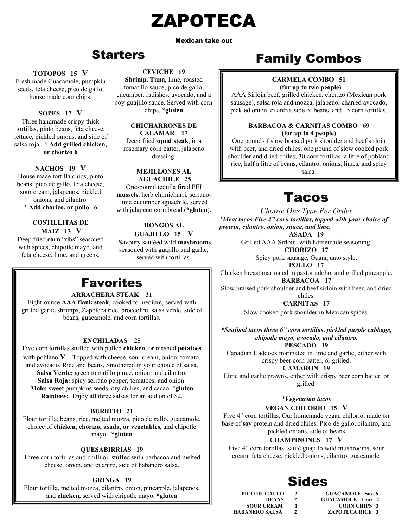# ZAPOTECA

Mexican take out

# Starters

### **TOTOPOS 15 V**

seeds, feta cheese, pico de gallo, Fresh made Guacamole, pumpkin house made corn chips.

# **SOPES 17 V**

Three handmade crispy thick tortillas, pinto beans, feta cheese, lettuce, pickled onions, and side of salsa roja. **\* Add grilled chicken, or chorizo 6** 

### **NACHOS 19 V**

House made tortilla chips, pinto beans, pico de gallo, feta cheese, sour cream, jalapenos, pickled onions, and cilantro.

**\* Add chorizo, or pollo 6** 

### **COSTILLITAS DE MAIZ 13 V**

Deep fried **corn** "ribs" seasoned with spices, chipotle mayo, and feta cheese, lime, and greens.

### C**EVICHE 19**

**Shrimp, Tuna**, lime, roasted tomatillo sauce, pico de gallo, cucumber, radishes, avocado, and a soy-guajillo sauce. Served with corn chips. **\*gluten**

> **CHICHARRONES DE CALAMAR 17**

Deep fried **squid steak**, in a rosemary corn batter, jalapeno dressing.

### **MEJILLONES AL AGUACHILE 25**

One-pound tequila fired PEI **mussels**, herb chimichurri, serranolime cucumber aguachile, served with jalapeno corn bread (**\*gluten**).

# **HONGOS AL**

**GUAJILLO 15 V** Savoury sautéed wild **mushrooms**, seasoned with guajillo and garlic, served with tortillas.

# Favorites

### **ARRACHERA STEAK 31**

Eight-ounce **AAA flank steak**, cooked to medium, served with grilled garlic shrimps, Zapoteca rice, broccolini, salsa verde, side of beans, guacamole, and corn tortillas.

# **ENCHILADAS 25**

Five corn tortillas stuffed with pulled **chicken**, or mashed **potatoes**  with poblano **V**. Topped with cheese, sour cream, onion, tomato, and avocado. Rice and beans, Smothered in your choice of salsa. **Salsa Verde:** green tomatillo puree, onion, and cilantro. **Salsa Roja:** spicy serrano pepper, tomatoes, and onion. **Mole:** sweet pumpkins seeds, dry chilies, and cacao. **\*gluten Rainbow:** Enjoy all three salsas for an add on of \$2.

# **BURRITO 21**

Flour tortilla, beans, rice, melted mozza, pico de gallo, guacamole, choice of **chicken, chorizo, asada, or vegetables**, and chipotle mayo. **\*gluten**

# **QUESABIRRIAS 19**

Three corn tortillas and chilli oil stuffed with barbacoa and melted cheese, onion, and cilantro, side of habanero salsa.

# **GRINGA 19**

Flour tortilla, melted mozza, cilantro, onion, pineapple, jalapenos, and **chicken**, served with chipotle mayo. **\*gluten** 

# Family Combos

### **CARMELA COMBO 51 (for up to two people)**

AAA Sirloin beef, grilled chicken, chorizo (Mexican pork sausage), salsa roja and mozza, jalapeno, charred avocado, pickled onion, cilantro, side of beans, and 15 corn tortillas.

### **BARBACOA & CARNITAS COMBO 69 (for up to 4 people)**

One pound of slow braised pork shoulder and beef sirloin with beer, and dried chiles; one pound of slow cooked pork shoulder and dried chiles; 30 corn tortillas, a litre of poblano rice, half a litre of beans, cilantro, onions, limes, and spicy salsa.

# Tacos

*Choose One Type Per Order \*Meat tacos Five 4" corn tortillas, topped with your choice of protein, cilantro, onion, sauce, and lime.*

**ASADA 19** 

Grilled AAA Sirloin, with homemade seasoning*.* **CHORIZO 17** 

Spicy pork sausage, Guanajuato style.

**POLLO 17** 

Chicken breast marinated in pastor adobo, and grilled pineapple. **BARBACOA 17** 

Slow braised pork shoulder and beef sirloin with beer, and dried chiles.

**CARNITAS 17** 

Slow cooked pork shoulder in Mexican spices.

*\*Seafood tacos three 6" corn tortillas, pickled purple cabbage, chipotle mayo, avocado, and cilantro.*  **PESCADO 19** 

Canadian Haddock marinated in lime and garlic, either with crispy beer corn batter, or grilled.

**CAMARON 19**

Lime and garlic prawns, either with crispy beer corn batter, or grilled.

# *\*Vegetarian tacos*  **VEGAN CHILORIO 15 V**

Five 4" corn tortillas, Our homemade vegan chilorio, made on base of **soy** protein and dried chiles, Pico de gallo, cilantro, and pickled onions, side of beans

# **CHAMPINONES 17 V**

Five 4" corn tortillas, sauté guajillo wild mushrooms, sour cream, feta cheese, pickled onions, cilantro, guacamole*.*

# Sides

**PICO DE GALLO 3** GUACAMOLE 5oz. 6<br>**BEANS** 2 GUACAMOLE 1.5oz 2 **BEANS** 2 **GUACAMOLE 1.5oz 2**<br>**SOUR CREAM** 1 **CORN CHIPS** 3 **SOUR CREAM 1 CORN CHIPS 3<br>
HABANERO SALSA 2 ZAPOTECA RICE 3 2 ZAPOTECA RICE 3**